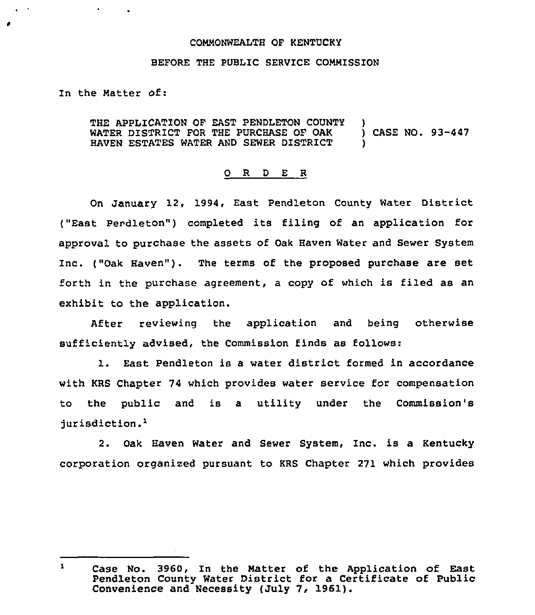## COMMONWEALTH OF KENTUCKY

## BEFORE THE PUBLIC SERVICE COMMISSION

## In the Matter of:

 $\mathbf{A}^{\mathrm{eff}}$ 

 $\sqrt{2}$ 

THE APPLICATION OF EAST PENDLETON COUNTY WATER DISTRICT FOR THE PURCHASE OF OAK HAVEN ESTATES WATER AND SEWER DISTRICT ) ) CASE NO. 93-447 )

## 0 R <sup>D</sup> E R

On January 12, 1994, East Pendleton County Water District ("East Pendleton") completed its filing of an application for approval to purchase the assets of Oak Haven Water and Sewer System Inc. ("Oak Haven"). The terms of the proposed purchase are set forth in the purchase agreement, a copy of which is filed as an exhibit to the application.

After reviewing the application and being otherwise sufficiently advised, the Commission finds as follows:

1. East Pendleton is a water district formed in accordance with KRS Chapter 74 which provides water service for compensation to the public and is a utility under the Commission's jurisdiction.<sup>1</sup>

2. Oak Haven Water and Sewer System, Inc. is a Kentucky corporation organized pursuant to KRS Chapter 271 which provides

 $\mathbf{1}$ case No. 3960, In the Matter of the Application of East Pendleton County Water District for a Certificate of Public Convenience and Necessity (July 7, 1961).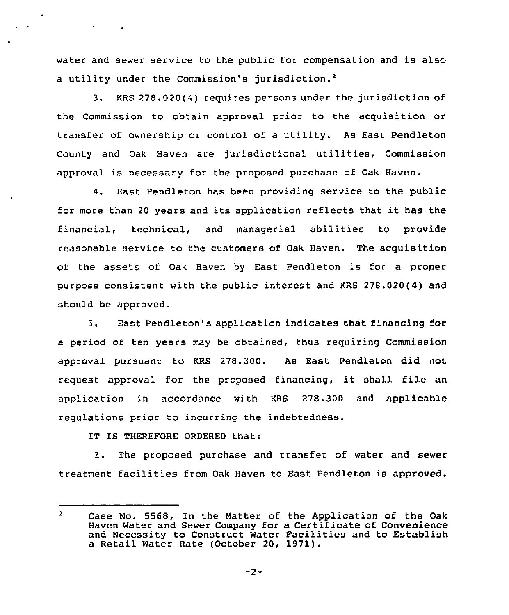water and sewer service to the public for compensation and is also a utility under the Commission's jurisdiction.<sup>2</sup>

3. KRS 278.020(4) requires persons under the jurisdiction of the Commission to obtain approval prior to the acquisition or transfer of ownership or control of <sup>a</sup> utility. As East Pendleton County and Oak Haven are jurisdictional utilities, Commission approval is necessary for the proposed purchase of Oak Haven.

4. East Pendleton has been providing service to the public for more than <sup>20</sup> years and its application reflects that it has the financial, technical, and managerial abilities to provide reasonable service to the customers of Oak Haven. The acquisition of the assets of Oak Haven by East Pendleton is for a proper purpose consistent with the public interest and KRS 278.020(4) and should be approved.

5. East Pendleton's application indicates that financing for a period of ten years may be obtained, thus requiring Commission approval pursuant to KRS 278.300. As East Pendleton did not request approval for the proposed financing, it shall file an application in accordance with KRS 278.300 and applicable regulations prior to incurring the indebtedness.

IT IS THEREFORE ORDERED that:

1. The proposed purchase and transfer of water and sewer treatment facilities from Oak Haven to East Pendleton is approved.

 $\overline{2}$ Case No. 5568, In the Matter of the Application of the Oak Haven Water and Sewer Company for a Certificate of Convenience and Necessity to Construct Water Facilities and to Establish a Retail Water Rate (October 20, 1971).